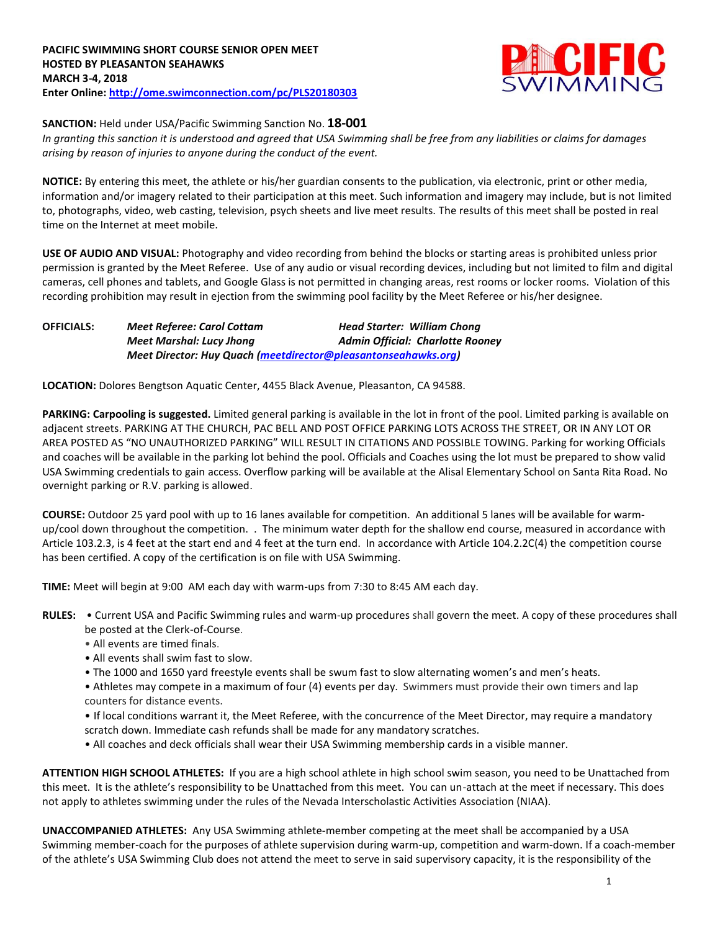

## **SANCTION:** Held under USA/Pacific Swimming Sanction No. **18-001**

*In granting this sanction it is understood and agreed that USA Swimming shall be free from any liabilities or claims for damages arising by reason of injuries to anyone during the conduct of the event.*

**NOTICE:** By entering this meet, the athlete or his/her guardian consents to the publication, via electronic, print or other media, information and/or imagery related to their participation at this meet. Such information and imagery may include, but is not limited to, photographs, video, web casting, television, psych sheets and live meet results. The results of this meet shall be posted in real time on the Internet at meet mobile.

**USE OF AUDIO AND VISUAL:** Photography and video recording from behind the blocks or starting areas is prohibited unless prior permission is granted by the Meet Referee. Use of any audio or visual recording devices, including but not limited to film and digital cameras, cell phones and tablets, and Google Glass is not permitted in changing areas, rest rooms or locker rooms. Violation of this recording prohibition may result in ejection from the swimming pool facility by the Meet Referee or his/her designee.

| <b>OFFICIALS:</b> | <b>Meet Referee: Carol Cottam</b>                              | <b>Head Starter: William Chong</b> |  |  |  |  |  |  |  |
|-------------------|----------------------------------------------------------------|------------------------------------|--|--|--|--|--|--|--|
|                   | <b>Meet Marshal: Lucy Jhong</b>                                | Admin Official: Charlotte Rooney   |  |  |  |  |  |  |  |
|                   | Meet Director: Huy Quach (meetdirector@pleasantonseahawks.org) |                                    |  |  |  |  |  |  |  |

**LOCATION:** Dolores Bengtson Aquatic Center, 4455 Black Avenue, Pleasanton, CA 94588.

**PARKING: Carpooling is suggested.** Limited general parking is available in the lot in front of the pool. Limited parking is available on adjacent streets. PARKING AT THE CHURCH, PAC BELL AND POST OFFICE PARKING LOTS ACROSS THE STREET, OR IN ANY LOT OR AREA POSTED AS "NO UNAUTHORIZED PARKING" WILL RESULT IN CITATIONS AND POSSIBLE TOWING. Parking for working Officials and coaches will be available in the parking lot behind the pool. Officials and Coaches using the lot must be prepared to show valid USA Swimming credentials to gain access. Overflow parking will be available at the Alisal Elementary School on Santa Rita Road. No overnight parking or R.V. parking is allowed.

**COURSE:** Outdoor 25 yard pool with up to 16 lanes available for competition. An additional 5 lanes will be available for warmup/cool down throughout the competition. . The minimum water depth for the shallow end course, measured in accordance with Article 103.2.3, is 4 feet at the start end and 4 feet at the turn end. In accordance with Article 104.2.2C(4) the competition course has been certified. A copy of the certification is on file with USA Swimming.

**TIME:** Meet will begin at 9:00 AM each day with warm-ups from 7:30 to 8:45 AM each day.

- **RULES:** Current USA and Pacific Swimming rules and warm-up procedures shall govern the meet. A copy of these procedures shall be posted at the Clerk-of-Course.
	- All events are timed finals.
	- All events shall swim fast to slow.
	- The 1000 and 1650 yard freestyle events shall be swum fast to slow alternating women's and men's heats.
	- Athletes may compete in a maximum of four (4) events per day. Swimmers must provide their own timers and lap counters for distance events.
	- If local conditions warrant it, the Meet Referee, with the concurrence of the Meet Director, may require a mandatory scratch down. Immediate cash refunds shall be made for any mandatory scratches.
	- All coaches and deck officials shall wear their USA Swimming membership cards in a visible manner.

**ATTENTION HIGH SCHOOL ATHLETES:** If you are a high school athlete in high school swim season, you need to be Unattached from this meet. It is the athlete's responsibility to be Unattached from this meet. You can un-attach at the meet if necessary. This does not apply to athletes swimming under the rules of the Nevada Interscholastic Activities Association (NIAA).

**UNACCOMPANIED ATHLETES:** Any USA Swimming athlete-member competing at the meet shall be accompanied by a USA Swimming member-coach for the purposes of athlete supervision during warm-up, competition and warm-down. If a coach-member of the athlete's USA Swimming Club does not attend the meet to serve in said supervisory capacity, it is the responsibility of the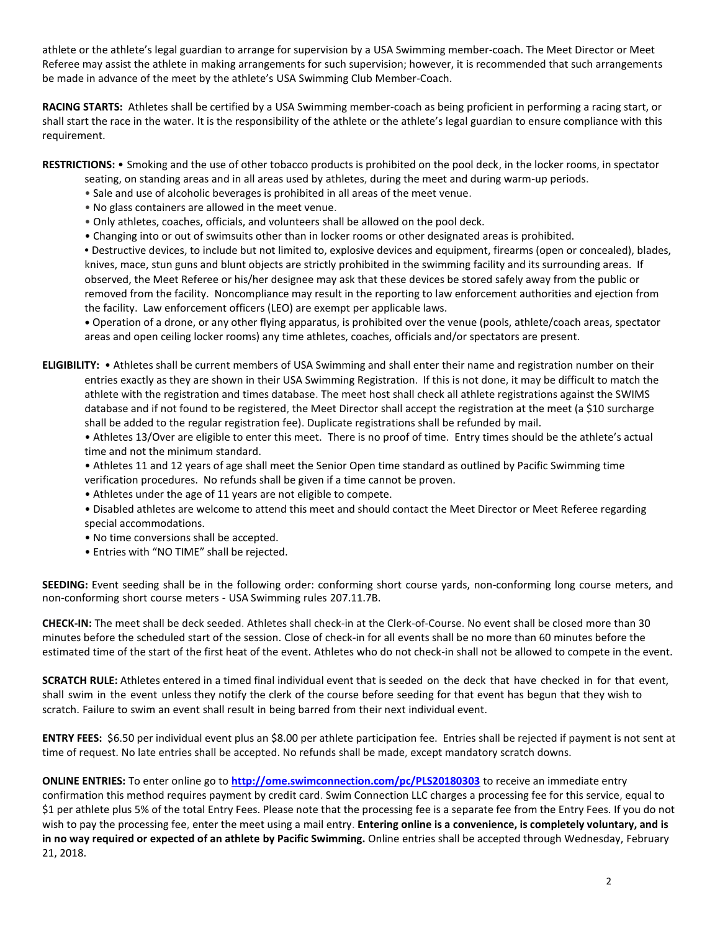athlete or the athlete's legal guardian to arrange for supervision by a USA Swimming member-coach. The Meet Director or Meet Referee may assist the athlete in making arrangements for such supervision; however, it is recommended that such arrangements be made in advance of the meet by the athlete's USA Swimming Club Member-Coach.

**RACING STARTS:** Athletes shall be certified by a USA Swimming member-coach as being proficient in performing a racing start, or shall start the race in the water. It is the responsibility of the athlete or the athlete's legal guardian to ensure compliance with this requirement.

**RESTRICTIONS:** • Smoking and the use of other tobacco products is prohibited on the pool deck, in the locker rooms, in spectator

- seating, on standing areas and in all areas used by athletes, during the meet and during warm-up periods.
- Sale and use of alcoholic beverages is prohibited in all areas of the meet venue.
- No glass containers are allowed in the meet venue.
- Only athletes, coaches, officials, and volunteers shall be allowed on the pool deck.
- Changing into or out of swimsuits other than in locker rooms or other designated areas is prohibited.

**•** Destructive devices, to include but not limited to, explosive devices and equipment, firearms (open or concealed), blades, knives, mace, stun guns and blunt objects are strictly prohibited in the swimming facility and its surrounding areas. If observed, the Meet Referee or his/her designee may ask that these devices be stored safely away from the public or removed from the facility. Noncompliance may result in the reporting to law enforcement authorities and ejection from the facility. Law enforcement officers (LEO) are exempt per applicable laws.

**•** Operation of a drone, or any other flying apparatus, is prohibited over the venue (pools, athlete/coach areas, spectator areas and open ceiling locker rooms) any time athletes, coaches, officials and/or spectators are present.

**ELIGIBILITY:** • Athletes shall be current members of USA Swimming and shall enter their name and registration number on their entries exactly as they are shown in their USA Swimming Registration. If this is not done, it may be difficult to match the athlete with the registration and times database. The meet host shall check all athlete registrations against the SWIMS database and if not found to be registered, the Meet Director shall accept the registration at the meet (a \$10 surcharge shall be added to the regular registration fee). Duplicate registrations shall be refunded by mail.

• Athletes 13/Over are eligible to enter this meet. There is no proof of time. Entry times should be the athlete's actual time and not the minimum standard.

• Athletes 11 and 12 years of age shall meet the Senior Open time standard as outlined by Pacific Swimming time verification procedures. No refunds shall be given if a time cannot be proven.

- Athletes under the age of 11 years are not eligible to compete.
- Disabled athletes are welcome to attend this meet and should contact the Meet Director or Meet Referee regarding special accommodations.
- No time conversions shall be accepted.
- Entries with "NO TIME" shall be rejected.

**SEEDING:** Event seeding shall be in the following order: conforming short course yards, non-conforming long course meters, and non-conforming short course meters - USA Swimming rules 207.11.7B.

**CHECK-IN:** The meet shall be deck seeded. Athletes shall check-in at the Clerk-of-Course. No event shall be closed more than 30 minutes before the scheduled start of the session. Close of check‐in for all events shall be no more than 60 minutes before the estimated time of the start of the first heat of the event. Athletes who do not check-in shall not be allowed to compete in the event.

**SCRATCH RULE:** Athletes entered in a timed final individual event that is seeded on the deck that have checked in for that event, shall swim in the event unless they notify the clerk of the course before seeding for that event has begun that they wish to scratch. Failure to swim an event shall result in being barred from their next individual event.

**ENTRY FEES:** \$6.50 per individual event plus an \$8.00 per athlete participation fee. Entries shall be rejected if payment is not sent at time of request. No late entries shall be accepted. No refunds shall be made, except mandatory scratch downs.

**ONLINE ENTRIES:** To enter online go to **<http://ome.swimconnection.com/pc/PLS20180303>** to receive an immediate entry confirmation this method requires payment by credit card. Swim Connection LLC charges a processing fee for this service, equal to \$1 per athlete plus 5% of the total Entry Fees. Please note that the processing fee is a separate fee from the Entry Fees. If you do not wish to pay the processing fee, enter the meet using a mail entry. **Entering online is a convenience, is completely voluntary, and is in no way required or expected of an athlete by Pacific Swimming.** Online entries shall be accepted through Wednesday, February 21, 2018.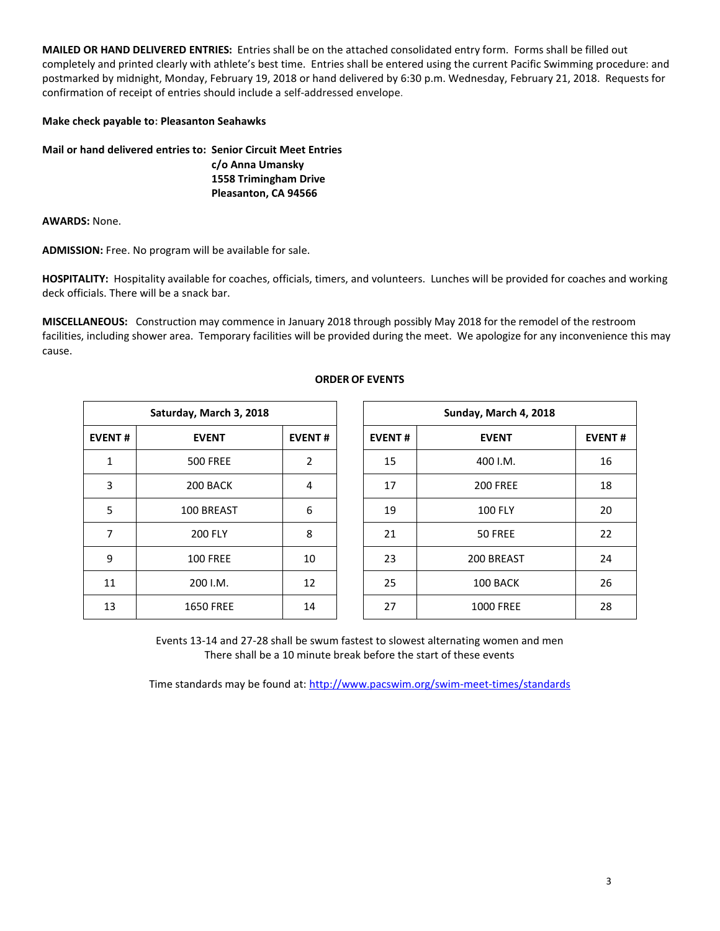**MAILED OR HAND DELIVERED ENTRIES:** Entries shall be on the attached consolidated entry form. Forms shall be filled out completely and printed clearly with athlete's best time. Entries shall be entered using the current Pacific Swimming procedure: and postmarked by midnight, Monday, February 19, 2018 or hand delivered by 6:30 p.m. Wednesday, February 21, 2018. Requests for confirmation of receipt of entries should include a self-addressed envelope.

## **Make check payable to: Pleasanton Seahawks**

**Mail or hand delivered entries to: Senior Circuit Meet Entries c/o Anna Umansky 1558 Trimingham Drive Pleasanton, CA 94566**

**AWARDS:** None.

**ADMISSION:** Free. No program will be available for sale.

**HOSPITALITY:** Hospitality available for coaches, officials, timers, and volunteers. Lunches will be provided for coaches and working deck officials. There will be a snack bar.

**MISCELLANEOUS:** Construction may commence in January 2018 through possibly May 2018 for the remodel of the restroom facilities, including shower area. Temporary facilities will be provided during the meet. We apologize for any inconvenience this may cause.

| Saturday, March 3, 2018 |                  |               |  |  |  |  |  |  |  |  |
|-------------------------|------------------|---------------|--|--|--|--|--|--|--|--|
| <b>EVENT#</b>           | <b>EVENT</b>     | <b>EVENT#</b> |  |  |  |  |  |  |  |  |
| 1                       | <b>500 FREE</b>  | 2             |  |  |  |  |  |  |  |  |
| 3                       | 200 BACK         | 4             |  |  |  |  |  |  |  |  |
| 5                       | 100 BREAST       | 6             |  |  |  |  |  |  |  |  |
| 7                       | <b>200 FLY</b>   | 8             |  |  |  |  |  |  |  |  |
| 9                       | <b>100 FREE</b>  | 10            |  |  |  |  |  |  |  |  |
| 11                      | 200 I.M.         | 12            |  |  |  |  |  |  |  |  |
| 13                      | <b>1650 FREE</b> | 14            |  |  |  |  |  |  |  |  |

## **ORDER OF EVENTS**

|               | Saturday, March 3, 2018 |                |               | Sunday, March 4, 2018 |               |
|---------------|-------------------------|----------------|---------------|-----------------------|---------------|
| <b>EVENT#</b> | <b>EVENT</b>            | <b>EVENT#</b>  | <b>EVENT#</b> | <b>EVENT</b>          | <b>EVENT#</b> |
| 1             | <b>500 FREE</b>         | $\overline{2}$ | 15            | 400 I.M.              | 16            |
| 3             | 200 BACK                | 4              | 17            | <b>200 FREE</b>       | 18            |
| 5             | 100 BREAST              | 6              | 19            | <b>100 FLY</b>        | 20            |
| 7             | <b>200 FLY</b>          | 8              | 21            | 50 FREE               | 22            |
| 9             | <b>100 FREE</b>         | 10             | 23            | 200 BREAST            | 24            |
| 11            | 200 I.M.                | 12             | 25            | 100 BACK              | 26            |
| 13            | <b>1650 FREE</b>        | 14             | 27            | <b>1000 FREE</b>      | 28            |

Events 13-14 and 27-28 shall be swum fastest to slowest alternating women and men There shall be a 10 minute break before the start of these events

Time standards may be found at:<http://www.pacswim.org/swim-meet-times/standards>